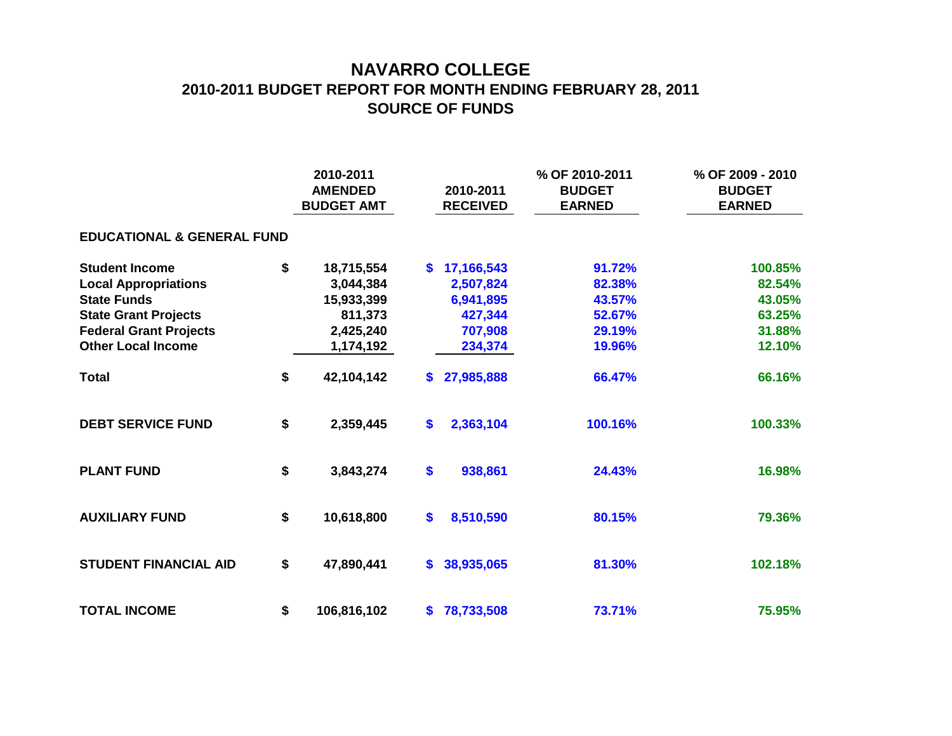## **NAVARRO COLLEGE 2010-2011 BUDGET REPORT FOR MONTH ENDING FEBRUARY 28, 2011 SOURCE OF FUNDS**

|                                       |    | 2010-2011<br><b>AMENDED</b><br><b>BUDGET AMT</b> |                   | 2010-2011<br><b>RECEIVED</b> | % OF 2010-2011<br><b>BUDGET</b><br><b>EARNED</b> | % OF 2009 - 2010<br><b>BUDGET</b><br><b>EARNED</b> |  |  |  |  |  |  |  |
|---------------------------------------|----|--------------------------------------------------|-------------------|------------------------------|--------------------------------------------------|----------------------------------------------------|--|--|--|--|--|--|--|
| <b>EDUCATIONAL &amp; GENERAL FUND</b> |    |                                                  |                   |                              |                                                  |                                                    |  |  |  |  |  |  |  |
| <b>Student Income</b>                 | \$ | 18,715,554                                       | S.                | 17,166,543                   | 91.72%                                           | 100.85%                                            |  |  |  |  |  |  |  |
| <b>Local Appropriations</b>           |    | 3,044,384                                        |                   | 2,507,824                    | 82.38%                                           | 82.54%                                             |  |  |  |  |  |  |  |
| <b>State Funds</b>                    |    | 15,933,399                                       |                   | 6,941,895                    | 43.57%                                           | 43.05%                                             |  |  |  |  |  |  |  |
| <b>State Grant Projects</b>           |    | 811,373                                          |                   | 427,344                      | 52.67%                                           | 63.25%                                             |  |  |  |  |  |  |  |
| <b>Federal Grant Projects</b>         |    | 2,425,240                                        |                   | 707,908                      | 29.19%                                           | 31.88%                                             |  |  |  |  |  |  |  |
| <b>Other Local Income</b>             |    | 1,174,192                                        |                   | 234,374                      | 19.96%                                           | 12.10%                                             |  |  |  |  |  |  |  |
| <b>Total</b>                          | \$ | 42,104,142                                       | S.                | 27,985,888                   | 66.47%                                           | 66.16%                                             |  |  |  |  |  |  |  |
| <b>DEBT SERVICE FUND</b>              | \$ | 2,359,445                                        | $\boldsymbol{\$}$ | 2,363,104                    | 100.16%                                          | 100.33%                                            |  |  |  |  |  |  |  |
| <b>PLANT FUND</b>                     | \$ | 3,843,274                                        | \$                | 938,861                      | 24.43%                                           | 16.98%                                             |  |  |  |  |  |  |  |
| <b>AUXILIARY FUND</b>                 | \$ | 10,618,800                                       | \$                | 8,510,590                    | 80.15%                                           | 79.36%                                             |  |  |  |  |  |  |  |
| <b>STUDENT FINANCIAL AID</b>          | \$ | 47,890,441                                       | S.                | 38,935,065                   | 81.30%                                           | 102.18%                                            |  |  |  |  |  |  |  |
| <b>TOTAL INCOME</b>                   | \$ | 106,816,102                                      | S.                | 78,733,508                   | 73.71%                                           | 75.95%                                             |  |  |  |  |  |  |  |